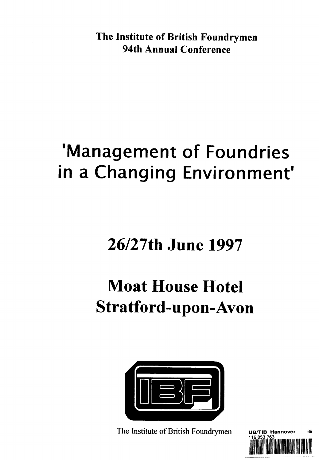**The Institute of British Foundry men 94th Annual Conference**

# **'Management of Foundries in a Changing Environment'**

## **26/27th June 1997**

## **Moat House Hotel Stratford-upon-Avon**



The Institute of British Foundrymen UB/TIB Hannover 89

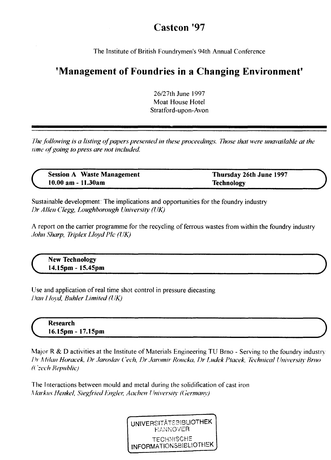### **Castcon '97**

The Institute of British Foundrymen's 94th Annual Conference

### **'Management of Foundries in a Changing Environment'**

26/27th June 1997 Moat House Hotel Stratford-upon-Avon

*The following is a listing of papers presented in these proceedings. 7 nose that were unm'ailable at the lime of going to press are not included.*

**( Session A** Waste Management Thursday 26th June 1997 **10.00 am - 11.30am Technology**

Sustainable development: The implications and opportunities for the foundry industry *Dr Allen C/egg, Loughborough University (UK)*

A report on the carrier programme for the recycling of ferrous wastes from within the foundry industry *John Sharp, Triplex Lloyd Pic (UK)*

**New Technology 14.15pm-15.45pm**

Use and application of real time shot control in pressure diecasting *Dan Lloyd, Buhler Limited (UK)*

Research  $\blacksquare$ 16.15pm - 17.15pm *J*

**(**

 $\bigg($ 

Major R & D activities at the Institute of Materials Engineering TU Brno - Serving to the foundry industry *Dr Milan Horacek, Dr Jaroslav Cech, Dr Jaromir Roucka, Dr Ludek Ptacek, Technical University Brno ((\*zech Republic)*

The Interactions between mould and metal during the solidification of cast iron *Markus Henkel, Siegfried Engler, Aachen University (Germany)* 

> UNIVERSITÄTSBIBLIOTHEK HANNOVER **TECHMISCHE** INFORMATIONSBIBLIOTHEK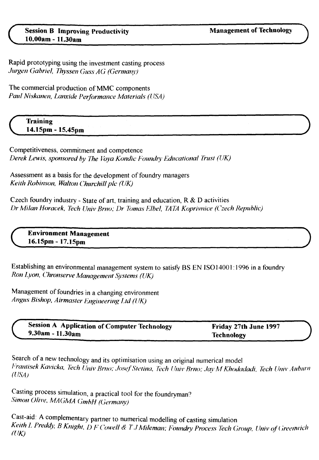#### **Session B Improving Productivity Management of Technology \ 10.00am - 11.30am** *J*

Rapid prototyping using the investment casting process *Jurgen Gabriel, Thyssen GussAG (Germany)*

The commercial production of MMC components *Paul Niskanen, Lanxide Performance Materials (USA)*

**Training A** and the contract of the contract of the contract of the contract of the contract of the contract of the contract of the contract of the contract of the contract of the contract of the contract of the contract 14.15pm - 15.45pm

**(**

**(**

**(**

Competitiveness, commitment and competence *Derek Lewis, sponsored by The Voya Kondic Foundry' Educational Trust (UK)*

Assessment as a basis for the development of foundry managers *Keith Robinson, Walton Churchill pic (UK)*

Czech foundry industry - State of art, training and education,  $R \& D$  activities *Dr Milan Horacek, Tech Univ Brno; Dr Tomas Elbel, TATA Koprivnice (Czech Republic)*

**Environment Management 16.15pm - 17.15pm**

Establishing an environmental management system to satisfy BS EN ISO14001:1996 in a foundry *Ron Lyon, Chronserve Management Systems (UK)*

Management of foundries in a changing environment *Angus Bishop, Airmaster Engineering Ltd (UK)*

| <b>Session A Application of Computer Technology</b> | Friday 27th June 1997 |
|-----------------------------------------------------|-----------------------|
| $9.30$ am - 11.30am                                 | <b>Technology</b>     |

14.15pm - 15.45pm - 15.45pm - 15.45pm - 15.45pm - 15.45pm - 15.45pm - 15.45pm - 15.45pm - 15.45pm - 15.45pm - 1<br>15.45pm - 15.45pm - 15.45pm - 15.45pm - 15.45pm - 15.45pm - 15.45pm - 15.45pm - 15.45pm - 15.45pm - 15.45pm -

Search of a new technology and its optimisation using an original numerical model *I'rantisekKavicka, Tech Univ Brno; Josef Stetina, Tech Univ Brno; Jav MKhodadadi, Tech Univ Auburn (USA)*

Casting process simulation, a practical tool for the foundryman<sup>9</sup> *Simon Olive, MAGMA GmbH (Germany)*

Cast-aid: A complementary partner to numerical modelling of casting simulation *Keith L Freddy, B Knight, D F Cowell &• TJMileman; Foundry Process Tech Group, Univ of Greenwich*